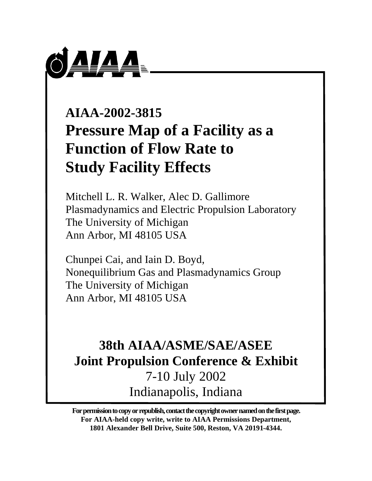

# **AIAA-2002-3815 Pressure Map of a Facility as a Function of Flow Rate to Study Facility Effects**

Mitchell L. R. Walker, Alec D. Gallimore Plasmadynamics and Electric Propulsion Laboratory The University of Michigan Ann Arbor, MI 48105 USA

Chunpei Cai, and Iain D. Boyd, Nonequilibrium Gas and Plasmadynamics Group The University of Michigan Ann Arbor, MI 48105 USA

## **38th AIAA/ASME/SAE/ASEE Joint Propulsion Conference & Exhibit** 7-10 July 2002 Indianapolis, Indiana

**For permission to copy or republish, contact the copyright owner named on the first page. For AIAA-held copy write, write to AIAA Permissions Department, 1801 Alexander Bell Drive, Suite 500, Reston, VA 20191-4344.**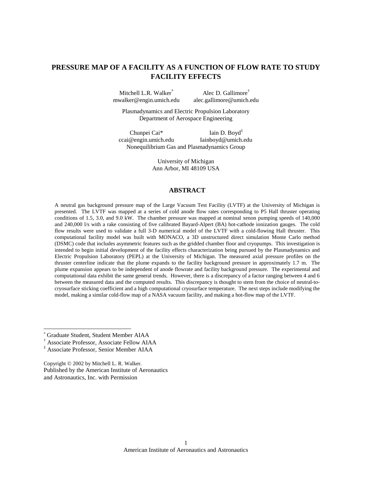### **PRESSURE MAP OF A FACILITY AS A FUNCTION OF FLOW RATE TO STUDY FACILITY EFFECTS**

Mitchell L.R. Walker<sup>\*</sup>  $\qquad \qquad$  Alec D. Gallimore<sup>†</sup> mwalker@engin.umich.edu alec.gallimore@umich.edu

Plasmadynamics and Electric Propulsion Laboratory Department of Aerospace Engineering

Chunpei Cai<sup>\*</sup> Iain D. Boyd<sup>‡</sup> ccai@engin.umich.edu Iainboyd@umich.edu Nonequilibrium Gas and Plasmadynamics Group

> University of Michigan Ann Arbor, MI 48109 USA

#### **ABSTRACT**

A neutral gas background pressure map of the Large Vacuum Test Facility (LVTF) at the University of Michigan is presented. The LVTF was mapped at a series of cold anode flow rates corresponding to P5 Hall thruster operating conditions of 1.5, 3.0, and 9.0 kW. The chamber pressure was mapped at nominal xenon pumping speeds of 140,000 and 240,000 l/s with a rake consisting of five calibrated Bayard-Alpert (BA) hot-cathode ionization gauges. The cold flow results were used to validate a full 3-D numerical model of the LVTF with a cold-flowing Hall thruster. This computational facility model was built with MONACO, a 3D unstructured direct simulation Monte Carlo method (DSMC) code that includes asymmetric features such as the gridded chamber floor and cryopumps. This investigation is intended to begin initial development of the facility effects characterization being pursued by the Plasmadynamics and Electric Propulsion Laboratory (PEPL) at the University of Michigan. The measured axial pressure profiles on the thruster centerline indicate that the plume expands to the facility background pressure in approximately 1.7 m. The plume expansion appears to be independent of anode flowrate and facility background pressure. The experimental and computational data exhibit the same general trends. However, there is a discrepancy of a factor ranging between 4 and 6 between the measured data and the computed results. This discrepancy is thought to stem from the choice of neutral-tocryosurface sticking coefficient and a high computational cryosurface temperature. The next steps include modifying the model, making a similar cold-flow map of a NASA vacuum facility, and making a hot-flow map of the LVTF.

Copyright © 2002 by Mitchell L. R. Walker. Published by the American Institute of Aeronautics and Astronautics, Inc. with Permission

<sup>\*</sup> Graduate Student, Student Member AIAA

<sup>†</sup> Associate Professor, Associate Fellow AIAA

<sup>‡</sup> Associate Professor, Senior Member AIAA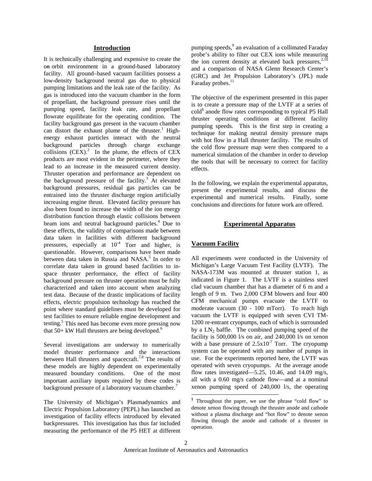#### **Introduction**

It is technically challenging and expensive to create the on- orbit environment in a ground-based laboratory facility. All ground–based vacuum facilities possess a low-density background neutral gas due to physical pumping limitations and the leak rate of the facility. As gas is introduced into the vacuum chamber in the form of propellant, the background pressure rises until the pumping speed, facility leak rate, and propellant flowrate equilibrate for the operating condition. The facility background gas present in the vacuum chamber can distort the exhaust plume of the thruster.<sup>1</sup> Highenergy exhaust particles interact with the neutral background particles through charge exchange collisions  $(CEX)^2$  In the plume, the effects of CEX products are most evident in the perimeter, where they lead to an increase in the measured current density. Thruster operation and performance are dependent on the background pressure of the facility.<sup>3</sup> At elevated background pressures, residual gas particles can be entrained into the thruster discharge region artificially increasing engine thrust. Elevated facility pressure has also been found to increase the width of the ion energy distribution function through elastic collisions between beam ions and neutral background particles.<sup>4</sup> Due to these effects, the validity of comparisons made between data taken in facilities with different background pressures, especially at  $10^{-4}$  Torr and higher, is questionable. However, comparisons have been made between data taken in Russia and NASA.<sup>5</sup> In order to correlate data taken in ground based facilities to inspace thruster performance, the effect of facility background pressure on thruster operation must be fully characterized and taken into account when analyzing test data. Because of the drastic implications of facility effects, electric propulsion technology has reached the point where standard guidelines must be developed for test facilities to ensure reliable engine development and testing.<sup>5</sup> This need has become even more pressing now that  $50+$  kW Hall thrusters are being developed.<sup>6</sup>

Several investigations are underway to numerically model thruster performance and the interactions between Hall thrusters and spacecraft.<sup>7,8</sup> The results of these models are highly dependent on experimentally measured boundary conditions. One of the most important auxiliary inputs required by these codes is background pressure of a laboratory vacuum chamber.<sup>7</sup>

The University of Michigan's Plasmadynamics and Electric Propulsion Laboratory (PEPL) has launched an investigation of facility effects introduced by elevated backpressures. This investigation has thus far included measuring the performance of the P5 HET at different

pumping speeds,<sup>9</sup> an evaluation of a collimated Faraday probe's ability to filter out CEX ions while measuring the ion current density at elevated back pressures, $2,10$ and a comparison of NASA Glenn Research Center's (GRC) and Jet Propulsion Laboratory's (JPL) nude Faraday probes.<sup>11</sup>

The objective of the experiment presented in this paper is to create a pressure map of the LVTF at a series of cold§ anode flow rates corresponding to typical P5 Hall thruster operating conditions at different facility pumping speeds. This is the first step in creating a technique for making neutral density pressure maps with hot flow in a Hall thruster facility. The results of the cold flow pressure map were then compared to a numerical simulation of the chamber in order to develop the tools that will be necessary to correct for facility effects.

In the following, we explain the experimental apparatus, present the experimental results, and discuss the experimental and numerical results. Finally, some conclusions and directions for future work are offered.

#### **Experimental Apparatus**

#### **Vacuum Facility**

All experiments were conducted in the University of Michigan's Large Vacuum Test Facility (LVTF). The NASA-173M was mounted at thruster station 1, as indicated in Figure 1. The LVTF is a stainless steel clad vacuum chamber that has a diameter of 6 m and a length of 9 m. Two 2,000 CFM blowers and four 400 CFM mechanical pumps evacuate the LVTF to moderate vacuum (30 - 100 mTorr). To reach high vacuum the LVTF is equipped with seven CVI TM-1200 re-entrant cryopumps, each of which is surrounded by a  $LN_2$  baffle. The combined pumping speed of the facility is  $500,000$  l/s on air, and  $240,000$  l/s on xenon with a base pressure of  $2.5x10<sup>-7</sup>$  Torr. The cryopump system can be operated with any number of pumps in use. For the experiments reported here, the LVTF was operated with seven cryopumps. At the average anode flow rates investigated—5.25, 10.46, and 14.09 mg/s, all with a 0.60 mg/s cathode flow—and at a nominal xenon pumping speed of 240,000 l/s, the operating

<sup>§</sup> Throughout the paper, we use the phrase "cold flow" to denote xenon flowing through the thruster anode and cathode without a plasma discharge and "hot flow" to denote xenon flowing through the anode and cathode of a thruster in operation.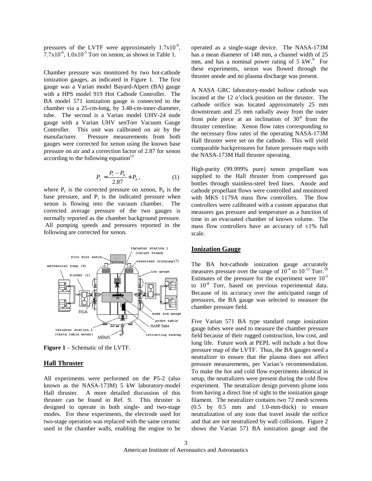pressures of the LVTF were approximately  $1.7x10^{-6}$ ,  $7.7x10^{-6}$ ,  $1.0x10^{-5}$  Torr on xenon, as shown in Table 1.

Chamber pressure was monitored by two hot-cathode ionization gauges, as indicated in Figure 1. The first gauge was a Varian model Bayard-Alpert (BA) gauge with a HPS model 919 Hot Cathode Controller. The BA model 571 ionization gauge is connected to the chamber via a 25-cm-long, by 3.48-cm-inner-diameter, tube. The second is a Varian model UHV-24 nude gauge with a Varian UHV senTorr Vacuum Gauge Controller. This unit was calibrated on air by the manufacturer. Pressure measurements from both gauges were corrected for xenon using the known base pressure on air and a correction factor of 2.87 for xenon according to the following equation<sup>12</sup>

$$
P_c = \frac{P_i - P_b}{2.87} + P_b,
$$
 (1)

where  $P_c$  is the corrected pressure on xenon,  $P_b$  is the base pressure, and  $P_i$  is the indicated pressure when xenon is flowing into the vacuum chamber. The corrected average pressure of the two gauges is normally reported as the chamber background pressure. All pumping speeds and pressures reported in the following are corrected for xenon.



**Figure 1** – Schematic of the LVTF.

#### **Hall Thruster**

All experiments were performed on the P5-2 (also known as the NASA-173M) 5 kW laboratory-model Hall thruster. A more detailed discussion of this thruster can be found in Ref. 9. This thruster is designed to operate in both single- and two-stage modes. For these experiments, the electrode used for two-stage operation was replaced with the same ceramic used in the chamber walls, enabling the engine to be

operated as a single-stage device. The NASA-173M has a mean diameter of 148 mm, a channel width of 25 mm, and has a nominal power rating of  $5 \text{ kW}$ <sup>9</sup> For these experiments, xenon was flowed through the thruster anode and no plasma discharge was present.

A NASA GRC laboratory-model hollow cathode was located at the 12 o'clock position on the thruster. The cathode orifice was located approximately 25 mm downstream and 25 mm radially away from the outer front pole piece at an inclination of 30° from the thruster centerline. Xenon flow rates corresponding to the necessary flow rates of the operating NASA-173M Hall thruster were set on the cathode. This will yield comparable backpressures for future pressure maps with the NASA-173M Hall thruster operating.

High-purity (99.999% pure) xenon propellant was supplied to the Hall thruster from compressed gas bottles through stainless-steel feed lines. Anode and cathode propellant flows were controlled and monitored with MKS 1179A mass flow controllers. The flow controllers were calibrated with a custom apparatus that measures gas pressure and temperature as a function of time in an evacuated chamber of known volume. The mass flow controllers have an accuracy of  $\pm 1\%$  full scale.

#### **Ionization Gauge**

The BA hot-cathode ionization gauge accurately measures pressure over the range of  $10^{-4}$  to  $10^{-12}$  Torr.<sup>10</sup> Estimates of the pressure for the experiment were  $10^{-5}$ to  $10^{-8}$  Torr, based on previous experimental data. Because of its accuracy over the anticipated range of pressures, the BA gauge was selected to measure the chamber pressure field.

Five Varian 571 BA type standard range ionization gauge tubes were used to measure the chamber pressure field because of their rugged construction, low cost, and long life. Future work at PEPL will include a hot flow pressure map of the LVTF. Thus, the BA gauges need a neutralizer to ensure that the plasma does not affect pressure measurements, per Varian's recommendation. To make the hot and cold flow experiments identical in setup, the neutralizers were present during the cold flow experiment. The neutralizer design prevents plume ions from having a direct line of sight to the ionization gauge filament. The neutralizer contains two 72 mesh screens (0.5 by 0.5 mm and 1.0-mm-thick) to ensure neutralization of any ions that travel inside the orifice and that are not neutralized by wall collisions. Figure 2 shows the Varian 571 BA ionization gauge and the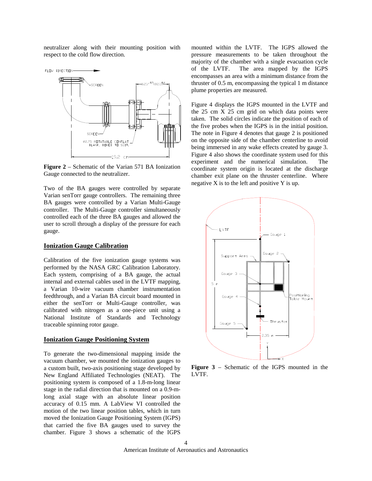neutralizer along with their mounting position with respect to the cold flow direction.



**Figure 2** – Schematic of the Varian 571 BA Ionization Gauge connected to the neutralizer.

Two of the BA gauges were controlled by separate Varian senTorr gauge controllers. The remaining three BA gauges were controlled by a Varian Multi-Gauge controller. The Multi-Gauge controller simultaneously controlled each of the three BA gauges and allowed the user to scroll through a display of the pressure for each gauge.

#### **Ionization Gauge Calibration**

Calibration of the five ionization gauge systems was performed by the NASA GRC Calibration Laboratory. Each system, comprising of a BA gauge, the actual internal and external cables used in the LVTF mapping, a Varian 10-wire vacuum chamber instrumentation feedthrough, and a Varian BA circuit board mounted in either the senTorr or Multi-Gauge controller, was calibrated with nitrogen as a one-piece unit using a National Institute of Standards and Technology traceable spinning rotor gauge.

#### **Ionization Gauge Positioning System**

To generate the two-dimensional mapping inside the vacuum chamber, we mounted the ionization gauges to a custom built, two-axis positioning stage developed by New England Affiliated Technologies (NEAT). The positioning system is composed of a 1.8-m-long linear stage in the radial direction that is mounted on a 0.9-mlong axial stage with an absolute linear position accuracy of 0.15 mm. A LabView VI controlled the motion of the two linear position tables, which in turn moved the Ionization Gauge Positioning System (IGPS) that carried the five BA gauges used to survey the chamber. Figure 3 shows a schematic of the IGPS

mounted within the LVTF. The IGPS allowed the pressure measurements to be taken throughout the majority of the chamber with a single evacuation cycle of the LVTF. The area mapped by the IGPS encompasses an area with a minimum distance from the thruster of 0.5 m, encompassing the typical 1 m distance plume properties are measured.

Figure 4 displays the IGPS mounted in the LVTF and the 25 cm X 25 cm grid on which data points were taken. The solid circles indicate the position of each of the five probes when the IGPS is in the initial position. The note in Figure 4 denotes that gauge 2 is positioned on the opposite side of the chamber centerline to avoid being immersed in any wake effects created by gauge 3. Figure 4 also shows the coordinate system used for this experiment and the numerical simulation. The coordinate system origin is located at the discharge chamber exit plane on the thruster centerline. Where negative  $X$  is to the left and positive  $Y$  is up.



**Figure 3** – Schematic of the IGPS mounted in the LVTF.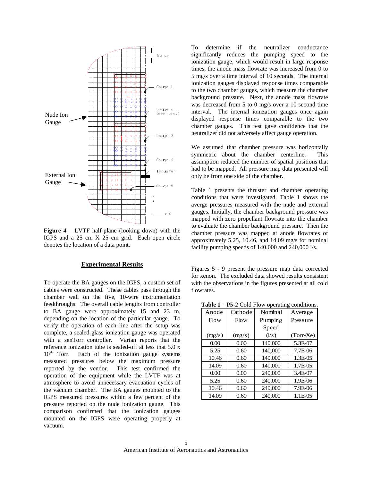

**Figure 4** – LVTF half-plane (looking down) with the IGPS and a 25 cm X 25 cm grid. Each open circle denotes the location of a data point.

#### **Experimental Results**

To operate the BA gauges on the IGPS, a custom set of cables were constructed. These cables pass through the chamber wall on the five, 10-wire instrumentation feedthroughs. The overall cable lengths from controller to BA gauge were approximately 15 and 23 m, depending on the location of the particular gauge. To verify the operation of each line after the setup was complete, a sealed-glass ionization gauge was operated with a senTorr controller. Varian reports that the reference ionization tube is sealed-off at less that 5.0 x  $10^{-6}$  Torr. Each of the ionization gauge systems measured pressures below the maximum pressure reported by the vendor. This test confirmed the operation of the equipment while the LVTF was at atmosphere to avoid unnecessary evacuation cycles of the vacuum chamber. The BA gauges mounted to the IGPS measured pressures within a few percent of the pressure reported on the nude ionization gauge. This comparison confirmed that the ionization gauges mounted on the IGPS were operating properly at vacuum.

To determine if the neutralizer conductance significantly reduces the pumping speed to the ionization gauge, which would result in large response times, the anode mass flowrate was increased from 0 to 5 mg/s over a time interval of 10 seconds. The internal ionization gauges displayed response times comparable to the two chamber gauges, which measure the chamber background pressure. Next, the anode mass flowrate was decreased from 5 to 0 mg/s over a 10 second time interval. The internal ionization gauges once again displayed response times comparable to the two chamber gauges. This test gave confidence that the neutralizer did not adversely affect gauge operation.

We assumed that chamber pressure was horizontally symmetric about the chamber centerline. This assumption reduced the number of spatial positions that had to be mapped. All pressure map data presented will only be from one side of the chamber.

Table 1 presents the thruster and chamber operating conditions that were investigated. Table 1 shows the averge pressures measured with the nude and external gauges. Initially, the chamber background pressure was mapped with zero propellant flowrate into the chamber to evaluate the chamber background pressure. Then the chamber pressure was mapped at anode flowrates of approximately 5.25, 10.46, and 14.09 mg/s for nominal facility pumping speeds of 140,000 and 240,000 l/s.

Figures 5 - 9 present the pressure map data corrected for xenon. The excluded data showed results consistent with the observations in the figures presented at all cold flowrates.

**Table 1** – P5-2 Cold Flow operating conditions.

| таніст<br>$-1.5-2$ Cold 1 low operating conditions |         |                 |             |
|----------------------------------------------------|---------|-----------------|-------------|
| Anode                                              | Cathode | Nominal         | Average     |
| Flow                                               | Flow    | Pumping         | Pressure    |
|                                                    |         | Speed           |             |
| (mg/s)                                             | (mg/s)  | $(\frac{1}{s})$ | $(Torr-Xe)$ |
| 0.00                                               | 0.00    | 140,000         | 5.3E-07     |
| 5.25                                               | 0.60    | 140,000         | 7.7E-06     |
| 10.46                                              | 0.60    | 140,000         | 1.3E-05     |
| 14.09                                              | 0.60    | 140,000         | 1.7E-05     |
| 0.00                                               | 0.00    | 240,000         | 3.4E-07     |
| 5.25                                               | 0.60    | 240,000         | 1.9E-06     |
| 10.46                                              | 0.60    | 240,000         | 7.9E-06     |
| 14.09                                              | 0.60    | 240,000         | 1.1E-05     |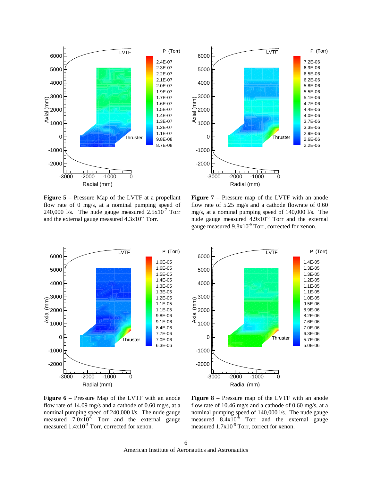

**Figure 5** – Pressure Map of the LVTF at a propellant flow rate of 0 mg/s, at a nominal pumping speed of 240,000 l/s. The nude gauge measured  $2.5 \times 10^{-7}$  Torr and the external gauge measured  $4.3x10^{-7}$  Torr.



**Figure 7** – Pressure map of the LVTF with an anode flow rate of 5.25 mg/s and a cathode flowrate of 0.60 mg/s, at a nominal pumping speed of 140,000 l/s. The nude gauge measured  $4.9x10^{-6}$  Torr and the external gauge measured  $9.8x10^{-6}$  Torr, corrected for xenon.





**Figure 6** – Pressure Map of the LVTF with an anode flow rate of 14.09 mg/s and a cathode of 0.60 mg/s, at a nominal pumping speed of 240,000 l/s. The nude gauge measured  $7.0x10^{-6}$  Torr and the external gauge measured  $1.4x10^{-5}$  Torr, corrected for xenon.

**Figure 8** – Pressure map of the LVTF with an anode flow rate of 10.46 mg/s and a cathode of 0.60 mg/s, at a nominal pumping speed of 140,000 l/s. The nude gauge measured  $8.4 \times 10^{-6}$  Torr and the external gauge measured  $1.7x10^{-5}$  Torr, correct for xenon.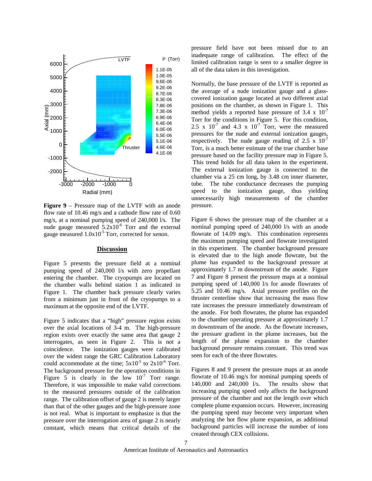

**Figure 9** – Pressure map of the LVTF with an anode flow rate of 10.46 mg/s and a cathode flow rate of 0.60 mg/s, at a nominal pumping speed of 240,000 l/s. The nude gauge measured  $5.2x10^{-6}$  Torr and the external gauge measured  $1.0x10^{-5}$  Torr, corrected for xenon.

#### **Discussion**

Figure 5 presents the pressure field at a nominal pumping speed of 240,000 l/s with zero propellant entering the chamber. The cryopumps are located on the chamber walls behind station 1 as indicated in Figure 1. The chamber back pressure clearly varies from a minimum just in front of the cryopumps to a maximum at the opposite end of the LVTF.

Figure 5 indicates that a "high" pressure region exists over the axial locations of 3-4 m. The high-pressure region exists over exactly the same area that gauge 2 interrogates, as seen in Figure 2. This is not a coincidence. The ionization gauges were calibrated over the widest range the GRC Calibration Laboratory could accommodate at the time;  $5x10^{-5}$  to  $2x10^{-6}$  Torr. The background pressure for the operation conditions in Figure 5 is clearly in the low  $10^{-7}$  Torr range. Therefore, it was impossible to make valid corrections to the measured pressures outside of the calibration range. The calibration offset of gauge 2 is merely larger than that of the other gauges and the high-pressure zone is not real. What is important to emphasize is that the pressure over the interrogation area of gauge 2 is nearly constant, which means that critical details of the pressure field have not been missed due to an inadequate range of calibration. The effect of the limited calibration range is seen to a smaller degree in all of the data taken in this investigation.

Normally, the base pressure of the LVTF is reported as the average of a nude ionization gauge and a glasscovered ionization gauge located at two different axial positions on the chamber, as shown in Figure 1. This method yields a reported base pressure of 3.4 x  $10^{-7}$ Torr for the conditions in Figure 5. For this condition, 2.5 x  $10^{-7}$  and 4.3 x  $10^{-7}$  Torr, were the measured pressures for the nude and external ionization gauges, respectively. The nude gauge reading of 2.5 x  $10^{-7}$ Torr, is a much better estimate of the true chamber base pressure based on the facility pressure map in Figure 5. This trend holds for all data taken in the experiment. The external ionization gauge is connected to the chamber via a 25 cm long, by 3.48 cm inner diameter, tube. The tube conductance decreases the pumping speed to the ionization gauge, thus yielding unnecessarily high measurements of the chamber pressure.

Figure 6 shows the pressure map of the chamber at a nominal pumping speed of 240,000 l/s with an anode flowrate of 14.09 mg/s. This combination represents the maximum pumping speed and flowrate investigated in this experiment. The chamber background pressure is elevated due to the high anode flowrate, but the plume has expanded to the background pressure at approximately 1.7 m downstream of the anode. Figure 7 and Figure 8 present the pressure maps at a nominal pumping speed of 140,000 l/s for anode flowrates of 5.25 and 10.46 mg/s. Axial pressure profiles on the thruster centerline show that increasing the mass flow rate increases the pressure immediately downstream of the anode. For both flowrates, the plume has expanded to the chamber operating pressure at approximately 1.7 m downstream of the anode. As the flowrate increases, the pressure gradient in the plume increases, but the length of the plume expansion to the chamber background pressure remains constant. This trend was seen for each of the three flowrates.

Figures 8 and 9 present the pressure maps at an anode flowrate of 10.46 mg/s for nominal pumping speeds of 140,000 and 240,000 l/s. The results show that increasing pumping speed only affects the background pressure of the chamber and not the length over which complete plume expansion occurs. However, increasing the pumping speed may become very important when analyzing the hot flow plume expansion, as additional background particles will increase the number of ions created through CEX collisions.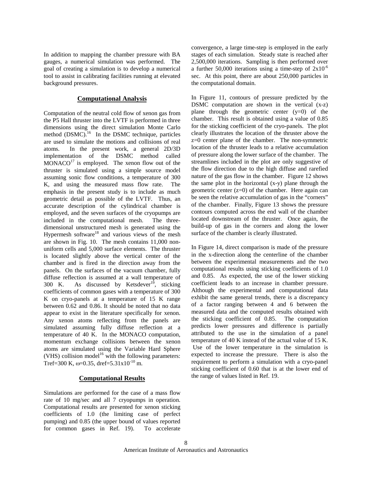In addition to mapping the chamber pressure with BA gauges, a numerical simulation was performed. The goal of creating a simulation is to develop a numerical tool to assist in calibrating facilities running at elevated background pressures.

#### **Computational Analysis**

Computation of the neutral cold flow of xenon gas from the P5 Hall thruster into the LVTF is performed in three dimensions using the direct simulation Monte Carlo method  $(DSMC)$ <sup>16</sup> In the DSMC technique, particles are used to simulate the motions and collisions of real atoms. In the present work, a general 2D/3D implementation of the DSMC method called  $MONACO<sup>17</sup>$  is employed. The xenon flow out of the thruster is simulated using a simple source model assuming sonic flow conditions, a temperature of 300 K, and using the measured mass flow rate. The emphasis in the present study is to include as much geometric detail as possible of the LVTF. Thus, an accurate description of the cylindrical chamber is employed, and the seven surfaces of the cryopumps are included in the computational mesh. The threedimensional unstructured mesh is generated using the Hypermesh software<sup>18</sup> and various views of the mesh are shown in Fig. 10. The mesh contains 11,000 nonuniform cells and 5,000 surface elements. The thruster is located slightly above the vertical center of the chamber and is fired in the direction away from the panels. On the surfaces of the vacuum chamber, fully diffuse reflection is assumed at a wall temperature of 300 K. As discussed by Ketsdever<sup>19</sup>, sticking coefficients of common gases with a temperature of 300 K on cryo-panels at a temperature of 15 K range between 0.62 and 0.86. It should be noted that no data appear to exist in the literature specifically for xenon. Any xenon atoms reflecting from the panels are simulated assuming fully diffuse reflection at a temperature of 40 K. In the MONACO computation, momentum exchange collisions between the xenon atoms are simulated using the Variable Hard Sphere (VHS) collision model<sup>16</sup> with the following parameters: Tref=300 K,  $\omega$ =0.35, dref=5.31x10<sup>-10</sup> m.

#### **Computational Results**

Simulations are performed for the case of a mass flow rate of 10 mg/sec and all 7 cryopumps in operation. Computational results are presented for xenon sticking coefficients of 1.0 (the limiting case of perfect pumping) and 0.85 (the upper bound of values reported for common gases in Ref. 19). To accelerate

convergence, a large time-step is employed in the early stages of each simulation. Steady state is reached after 2,500,000 iterations. Sampling is then performed over a further 50,000 iterations using a time-step of  $2x10^{-6}$ sec. At this point, there are about 250,000 particles in the computational domain.

In Figure 11, contours of pressure predicted by the DSMC computation are shown in the vertical (x-z) plane through the geometric center  $(y=0)$  of the chamber. This result is obtained using a value of 0.85 for the sticking coefficient of the cryo-panels. The plot clearly illustrates the location of the thruster above the z=0 center plane of the chamber. The non-symmetric location of the thruster leads to a relative accumulation of pressure along the lower surface of the chamber. The streamlines included in the plot are only suggestive of the flow direction due to the high diffuse and rarefied nature of the gas flow in the chamber. Figure 12 shows the same plot in the horizontal (x-y) plane through the geometric center (z=0) of the chamber. Here again can be seen the relative accumulation of gas in the "corners" of the chamber. Finally, Figure 13 shows the pressure contours computed across the end wall of the chamber located downstream of the thruster. Once again, the build-up of gas in the corners and along the lower surface of the chamber is clearly illustrated.

In Figure 14, direct comparison is made of the pressure in the x-direction along the centerline of the chamber between the experimental measurements and the two computational results using sticking coefficients of 1.0 and 0.85. As expected, the use of the lower sticking coefficient leads to an increase in chamber pressure. Although the experimental and computational data exhibit the same general trends, there is a discrepancy of a factor ranging between 4 and 6 between the measured data and the computed results obtained with the sticking coefficient of 0.85. The computation predicts lower pressures and difference is partially attributed to the use in the simulation of a panel temperature of 40 K instead of the actual value of 15 K. Use of the lower temperature in the simulation is expected to increase the pressure. There is also the requirement to perform a simulation with a cryo-panel sticking coefficient of 0.60 that is at the lower end of the range of values listed in Ref. 19.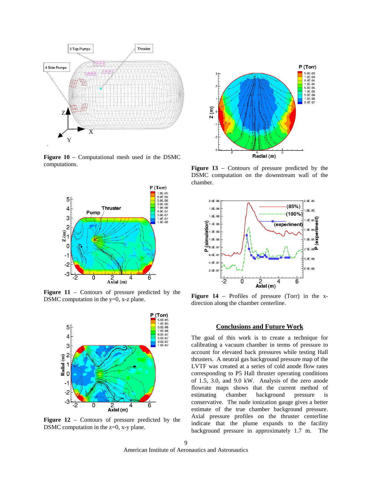

**Figure 10** – Computational mesh used in the DSMC computations.



Figure 11 – Contours of pressure predicted by the DSMC computation in the y=0, x-z plane.



Figure  $12$  – Contours of pressure predicted by the DSMC computation in the z=0, x-y plane.



**Figure 13** – Contours of pressure predicted by the DSMC computation on the downstream wall of the chamber.



**Figure 14** – Profiles of pressure (Torr) in the xdirection along the chamber centerline.

#### **Conclusions and Future Work**

The goal of this work is to create a technique for calibrating a vacuum chamber in terms of pressure to account for elevated back pressures while testing Hall thrusters. A neutral gas background pressure map of the LVTF was created at a series of cold anode flow rates corresponding to P5 Hall thruster operating conditions of 1.5, 3.0, and 9.0 kW. Analysis of the zero anode flowrate maps shows that the current method of estimating chamber background pressure is conservative. The nude ionization gauge gives a better estimate of the true chamber background pressure. Axial pressure profiles on the thruster centerline indicate that the plume expands to the facility background pressure in approximately 1.7 m. The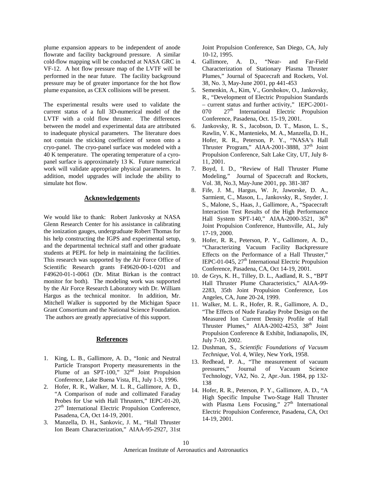plume expansion appears to be independent of anode flowrate and facility background pressure. A similar cold-flow mapping will be conducted at NASA GRC in VF-12. A hot flow pressure map of the LVTF will be performed in the near future. The facility background pressure may be of greater importance for the hot flow plume expansion, as CEX collisions will be present.

The experimental results were used to validate the current status of a full 3D-numerical model of the LVTF with a cold flow thruster. The differences between the model and experimental data are attributed to inadequate physical parameters. The literature does not contain the sticking coefficient of xenon onto a cryo-panel. The cryo-panel surface was modeled with a 40 K temperature. The operating temperature of a cyropanel surface is approximately 13 K. Future numerical work will validate appropriate physical parameters. In addition, model upgrades will include the ability to simulate hot flow.

#### **Acknowledgements**

We would like to thank: Robert Jankvosky at NASA Glenn Research Center for his assistance in calibrating the ionization gauges, undergraduate Robert Thomas for his help constructing the IGPS and experimental setup, and the departmental technical staff and other graduate students at PEPL for help in maintaining the facilities. This research was supported by the Air Force Office of Scientific Research grants F49620-00-1-0201 and F49620-01-1-0061 (Dr. Mitat Birkan is the contract monitor for both). The modeling work was supported by the Air Force Research Laboratory with Dr. William Hargus as the technical monitor. In addition, Mr. Mitchell Walker is supported by the Michigan Space Grant Consortium and the National Science Foundation. The authors are greatly appreciative of this support.

#### **References**

- 1. King, L. B., Gallimore, A. D., "Ionic and Neutral Particle Transport Property measurements in the Plume of an SPT-100,"  $32<sup>nd</sup>$  Joint Propulsion Conference, Lake Buena Vista, FL, July 1-3, 1996.
- 2. Hofer, R. R., Walker, M. L. R., Gallimore, A. D., "A Comparison of nude and collimated Faraday Probes for Use with Hall Thrusters," IEPC-01-20, 27<sup>th</sup> International Electric Propulsion Conference, Pasadena, CA, Oct 14-19, 2001.
- 3. Manzella, D. H., Sankovic, J. M., "Hall Thruster Ion Beam Characterization," AIAA-95-2927, 31st

Joint Propulsion Conference, San Diego, CA, July 10-12, 1995.

- 4. Gallimore, A. D., "Near- and Far-Field Characterization of Stationary Plasma Thruster Plumes," Journal of Spacecraft and Rockets, Vol. 38, No. 3, May-June 2001, pp 441-453
- 5. Semenkin, A., Kim, V., Gorshokov, O., Jankovsky, R., "Development of Electric Propulsion Standards – current status and further activity," IEPC-2001-  $070$   $27<sup>th</sup>$  International Electric Propulsion Conference, Pasadena, Oct. 15-19, 2001.
- 6. Jankovsky, R. S., Jacobson, D. T., Mason, L. S., Rawlin, V. K., Mantenieks, M. A., Manzella, D. H., Hofer, R. R., Peterson, P. Y., "NASA's Hall Thruster Program," AIAA-2001-3888, 37<sup>th</sup> Joint Propulsion Conference, Salt Lake City, UT, July 8- 11, 2001.
- 7. Boyd, I. D., "Review of Hall Thruster Plume Modeling," Journal of Spacecraft and Rockets, Vol. 38, No.3, May-June 2001, pp. 381-387
- 8. Fife, J. M., Hargus, W. Jr, Jaworske, D. A., Sarmient, C., Mason, L., Jankovsky, R., Snyder, J. S., Malone, S., Haas, J., Gallimore, A., "Spacecraft Interaction Test Results of the High Performance Hall System SPT-140," AIAA-2000-3521, 36<sup>th</sup> Joint Propulsion Conference, Huntsville, AL, July 17-19, 2000.
- 9. Hofer, R. R., Peterson, P. Y., Gallimore, A. D., "Characterizing Vacuum Facility Backpressure Effects on the Performance of a Hall Thruster," IEPC-01-045,  $27<sup>th</sup>$  International Electric Propulsion Conference, Pasadena, CA, Oct 14-19, 2001.
- 10. de Grys, K. H., Tilley, D. L., Aadland, R. S., "BPT Hall Thruster Plume Characteristics," AIAA-99- 2283, 35th Joint Propulsion Conference, Los Angeles, CA, June 20-24, 1999.
- 11. Walker, M. L. R., Hofer, R. R., Gallimore, A. D., "The Effects of Nude Faraday Probe Design on the Measured Ion Current Density Profile of Hall Thruster Plumes," AIAA-2002-4253,  $38<sup>th</sup>$  Joint Propulsion Conference & Exhibit, Indianapolis, IN, July 7-10, 2002.
- 12. Dushman, S., *Scientific Foundations of Vacuum Technique*, Vol. 4, Wiley, New York, 1958.
- 13. Redhead, P. A., "The measurement of vacuum pressures," Journal of Vacuum Science Technology, VA2, No. 2, Apr.-Jun. 1984, pp 132- 138
- 14. Hofer, R. R., Peterson, P. Y., Gallimore, A. D., "A High Specific Impulse Two-Stage Hall Thruster with Plasma Lens Focusing," 27<sup>th</sup> International Electric Propulsion Conference, Pasadena, CA, Oct 14-19, 2001.